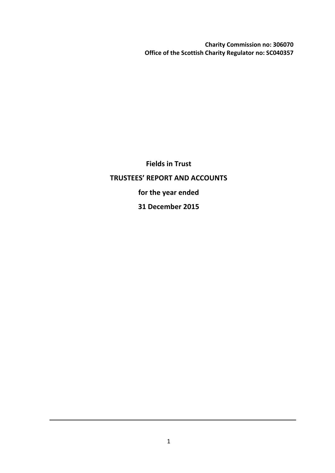**Charity Commission no: 306070 Office of the Scottish Charity Regulator no: SC040357**

**Fields in Trust TRUSTEES' REPORT AND ACCOUNTS for the year ended 31 December 2015**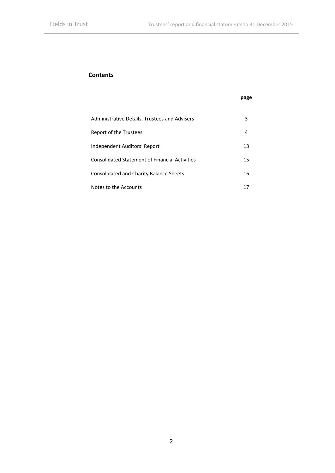**page**

# **Contents**

| Administrative Details, Trustees and Advisers         | 3  |
|-------------------------------------------------------|----|
| Report of the Trustees                                | 4  |
| Independent Auditors' Report                          | 13 |
| <b>Consolidated Statement of Financial Activities</b> | 15 |
| <b>Consolidated and Charity Balance Sheets</b>        | 16 |
| Notes to the Accounts                                 | 17 |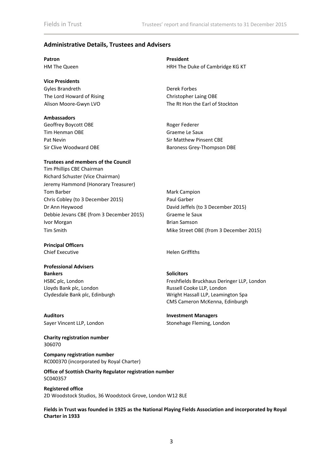# **Administrative Details, Trustees and Advisers**

| Patron          |  |
|-----------------|--|
| HM The Queen    |  |
|                 |  |
| Vice Presidents |  |

Gyles Brandreth Derek Forbes The Lord Howard of Rising The Lord Howard of Rising Christopher Laing OBE

#### **Ambassadors**

Geoffrey Boycott OBE **Roger Federer** Roger Federer Tim Henman OBE Graeme Le Saux Pat Nevin **Pat Neving Community** Sir Matthew Pinsent CBE

#### **Trustees and members of the Council**

Tim Phillips CBE Chairman Richard Schuster (Vice Chairman) Jeremy Hammond (Honorary Treasurer) Tom Barber Mark Campion Chris Cobley (to 3 December 2015) Paul Garber Dr Ann Heywood David Jeffels (to 3 December 2015) Debbie Jevans CBE (from 3 December 2015) Graeme le Saux Ivor Morgan Brian Samson Tim Smith Mike Street OBE (from 3 December 2015)

**Principal Officers** Chief Executive **Helen Griffiths** 

# **Professional Advisers Bankers Solicitors**

HSBC plc, London Lloyds Bank plc, London Clydesdale Bank plc, Edinburgh

**Auditors Investment Managers**

**Charity registration number** 306070

**Company registration number** RC000370 (incorporated by Royal Charter)

**Office of Scottish Charity Regulator registration number** SC040357

**Registered office** 2D Woodstock Studios, 36 Woodstock Grove, London W12 8LE

**Fields in Trust was founded in 1925 as the National Playing Fields Association and incorporated by Royal Charter in 1933**

**President** HRH The Duke of Cambridge KG KT

Alison Moore-Gwyn LVO The Rt Hon the Earl of Stockton

Sir Clive Woodward OBE Baroness Grey-Thompson DBE

Freshfields Bruckhaus Deringer LLP, London Russell Cooke LLP, London Wright Hassall LLP, Leamington Spa CMS Cameron McKenna, Edinburgh

Sayer Vincent LLP, London Sayer Vincent LLP, London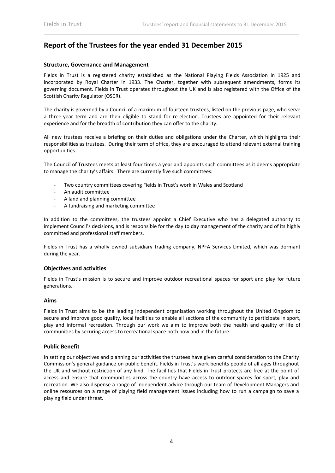# **Report of the Trustees for the year ended 31 December 2015**

# **Structure, Governance and Management**

Fields in Trust is a registered charity established as the National Playing Fields Association in 1925 and incorporated by Royal Charter in 1933. The Charter, together with subsequent amendments, forms its governing document. Fields in Trust operates throughout the UK and is also registered with the Office of the Scottish Charity Regulator (OSCR).

The charity is governed by a Council of a maximum of fourteen trustees, listed on the previous page, who serve a three-year term and are then eligible to stand for re-election. Trustees are appointed for their relevant experience and for the breadth of contribution they can offer to the charity.

All new trustees receive a briefing on their duties and obligations under the Charter, which highlights their responsibilities as trustees. During their term of office, they are encouraged to attend relevant external training opportunities.

The Council of Trustees meets at least four times a year and appoints such committees as it deems appropriate to manage the charity's affairs. There are currently five such committees:

- ‐ Two country committees covering Fields in Trust's work in Wales and Scotland
- ‐ An audit committee
- ‐ A land and planning committee
- ‐ A fundraising and marketing committee

In addition to the committees, the trustees appoint a Chief Executive who has a delegated authority to implement Council's decisions, and is responsible for the day to day management of the charity and of its highly committed and professional staff members.

Fields in Trust has a wholly owned subsidiary trading company, NPFA Services Limited, which was dormant during the year.

# **Objectives and activities**

Fields in Trust's mission is to secure and improve outdoor recreational spaces for sport and play for future generations.

# **Aims**

Fields in Trust aims to be the leading independent organisation working throughout the United Kingdom to secure and improve good quality, local facilities to enable all sections of the community to participate in sport, play and informal recreation. Through our work we aim to improve both the health and quality of life of communities by securing access to recreational space both now and in the future.

# **Public Benefit**

In setting our objectives and planning our activities the trustees have given careful consideration to the Charity Commission's general guidance on public benefit. Fields in Trust's work benefits people of all ages throughout the UK and without restriction of any kind. The facilities that Fields in Trust protects are free at the point of access and ensure that communities across the country have access to outdoor spaces for sport, play and recreation. We also dispense a range of independent advice through our team of Development Managers and online resources on a range of playing field management issues including how to run a campaign to save a playing field under threat.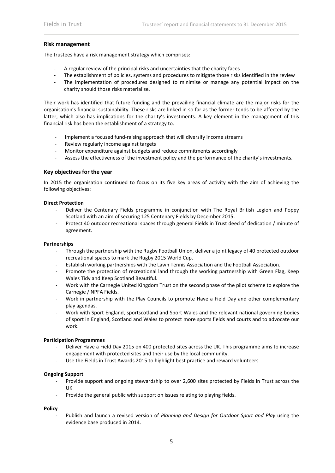#### **Risk management**

The trustees have a risk management strategy which comprises:

- ‐ A regular review of the principal risks and uncertainties that the charity faces
- The establishment of policies, systems and procedures to mitigate those risks identified in the review
- The implementation of procedures designed to minimise or manage any potential impact on the charity should those risks materialise.

Their work has identified that future funding and the prevailing financial climate are the major risks for the organisation's financial sustainability. These risks are linked in so far as the former tends to be affected by the latter, which also has implications for the charity's investments. A key element in the management of this financial risk has been the establishment of a strategy to:

- Implement a focused fund-raising approach that will diversify income streams
- ‐ Review regularly income against targets
- ‐ Monitor expenditure against budgets and reduce commitments accordingly
- Assess the effectiveness of the investment policy and the performance of the charity's investments.

#### **Key objectives for the year**

In 2015 the organisation continued to focus on its five key areas of activity with the aim of achieving the following objectives:

#### **Direct Protection**

- ‐ Deliver the Centenary Fields programme in conjunction with The Royal British Legion and Poppy Scotland with an aim of securing 125 Centenary Fields by December 2015.
- ‐ Protect 40 outdoor recreational spaces through general Fields in Trust deed of dedication / minute of agreement.

#### **Partnerships**

- ‐ Through the partnership with the Rugby Football Union, deliver a joint legacy of 40 protected outdoor recreational spaces to mark the Rugby 2015 World Cup.
- ‐ Establish working partnerships with the Lawn Tennis Association and the Football Association.
- Promote the protection of recreational land through the working partnership with Green Flag, Keep Wales Tidy and Keep Scotland Beautiful.
- ‐ Work with the Carnegie United Kingdom Trust on the second phase of the pilot scheme to explore the Carnegie / NPFA Fields.
- ‐ Work in partnership with the Play Councils to promote Have a Field Day and other complementary play agendas.
- ‐ Work with Sport England, sportscotland and Sport Wales and the relevant national governing bodies of sport in England, Scotland and Wales to protect more sports fields and courts and to advocate our work.

#### **Participation Programmes**

- ‐ Deliver Have a Field Day 2015 on 400 protected sites across the UK. This programme aims to increase engagement with protected sites and their use by the local community.
- ‐ Use the Fields in Trust Awards 2015 to highlight best practice and reward volunteers

#### **Ongoing Support**

- ‐ Provide support and ongoing stewardship to over 2,600 sites protected by Fields in Trust across the UK
- ‐ Provide the general public with support on issues relating to playing fields.

#### **Policy**

‐ Publish and launch a revised version of *Planning and Design for Outdoor Sport and Play* using the evidence base produced in 2014.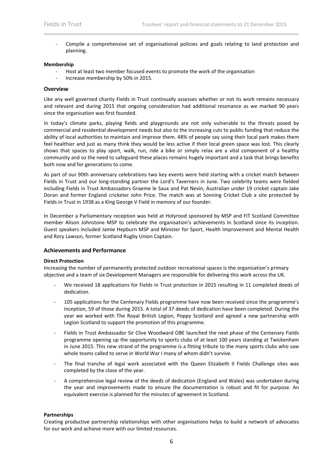‐ Compile a comprehensive set of organisational policies and goals relating to land protection and planning.

#### **Membership**

- ‐ Host at least two member focused events to promote the work of the organisation
- ‐ Increase membership by 50% in 2015.

#### **Overview**

Like any well governed charity Fields in Trust continually assesses whether or not its work remains necessary and relevant and during 2015 that ongoing consideration had additional resonance as we marked 90 years since the organisation was first founded.

In today's climate parks, playing fields and playgrounds are not only vulnerable to the threats posed by commercial and residential development needs but also to the increasing cuts to public funding that reduce the ability of local authorities to maintain and improve them. 48% of people say using their local park makes them feel healthier and just as many think they would be less active if their local green space was lost. This clearly shows that spaces to play sport, walk, run, ride a bike or simply relax are a vital component of a healthy community and so the need to safeguard these places remains hugely important and a task that brings benefits both now and for generations to come.

As part of our 90th anniversary celebrations two key events were held starting with a cricket match between Fields in Trust and our long‐standing partner the Lord's Taverners in June. Two celebrity teams were fielded including Fields in Trust Ambassadors Graeme le Saux and Pat Nevin, Australian under 19 cricket captain Jake Doran and former England cricketer John Price. The match was at Sonning Cricket Club a site protected by Fields in Trust in 1938 as a King George V Field in memory of our founder.

In December a Parliamentary reception was held at Holyrood sponsored by MSP and FIT Scotland Committee member Alison Johnstone MSP to celebrate the organisation's achievements in Scotland since its inception. Guest speakers included Jamie Hepburn MSP and Minister for Sport, Health Improvement and Mental Health and Rory Lawson, former Scotland Rugby Union Captain.

# **Achievements and Performance**

#### **Direct Protection**

Increasing the number of permanently protected outdoor recreational spaces is the organisation's primary objective and a team of six Development Managers are responsible for delivering this work across the UK.

- We received 18 applications for Fields in Trust protection in 2015 resulting in 11 completed deeds of dedication.
- ‐ 105 applications for the Centenary Fields programme have now been received since the programme's inception, 59 of those during 2015. A total of 37 deeds of dedication have been completed. During the year we worked with The Royal British Legion, Poppy Scotland and agreed a new partnership with Legion Scotland to support the promotion of this programme.
- ‐ Fields in Trust Ambassador Sir Clive Woodward OBE launched the next phase of the Centenary Fields programme opening up the opportunity to sports clubs of at least 100 years standing at Twickenham in June 2015. This new strand of the programme is a fitting tribute to the many sports clubs who saw whole teams called to serve in World War I many of whom didn't survive.
- The final tranche of legal work associated with the Queen Elizabeth II Fields Challenge sites was completed by the close of the year.
- ‐ A comprehensive legal review of the deeds of dedication (England and Wales) was undertaken during the year and improvements made to ensure the documentation is robust and fit for purpose. An equivalent exercise is planned for the minutes of agreement in Scotland.

# **Partnerships**

Creating productive partnership relationships with other organisations helps to build a network of advocates for our work and achieve more with our limited resources.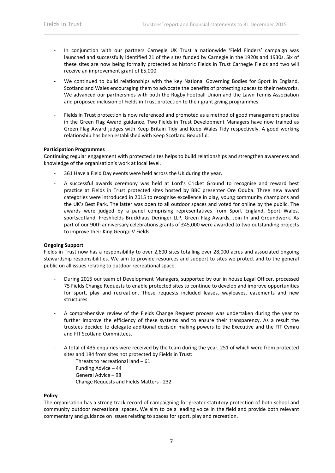- ‐ In conjunction with our partners Carnegie UK Trust a nationwide 'Field Finders' campaign was launched and successfully identified 21 of the sites funded by Carnegie in the 1920s and 1930s. Six of these sites are now being formally protected as historic Fields in Trust Carnegie Fields and two will receive an improvement grant of £5,000.
- We continued to build relationships with the key National Governing Bodies for Sport in England, Scotland and Wales encouraging them to advocate the benefits of protecting spaces to their networks. We advanced our partnerships with both the Rugby Football Union and the Lawn Tennis Association and proposed inclusion of Fields in Trust protection to their grant giving programmes.
- Fields in Trust protection is now referenced and promoted as a method of good management practice in the Green Flag Award guidance. Two Fields in Trust Development Managers have now trained as Green Flag Award judges with Keep Britain Tidy and Keep Wales Tidy respectively. A good working relationship has been established with Keep Scotland Beautiful.

# **Participation Programmes**

Continuing regular engagement with protected sites helps to build relationships and strengthen awareness and knowledge of the organisation's work at local level.

- 361 Have a Field Day events were held across the UK during the year.
- ‐ A successful awards ceremony was held at Lord's Cricket Ground to recognise and reward best practice at Fields in Trust protected sites hosted by BBC presenter Ore Oduba. Three new award categories were introduced in 2015 to recognise excellence in play, young community champions and the UK's Best Park. The latter was open to all outdoor spaces and voted for online by the public. The awards were judged by a panel comprising representatives from Sport England, Sport Wales, sportscotland, Freshfields Bruckhaus Deringer LLP, Green Flag Awards, Join In and Groundwork. As part of our 90th anniversary celebrations grants of £45,000 were awarded to two outstanding projects to improve their King George V Fields.

# **Ongoing Support**

Fields in Trust now has a responsibility to over 2,600 sites totalling over 28,000 acres and associated ongoing stewardship responsibilities. We aim to provide resources and support to sites we protect and to the general public on all issues relating to outdoor recreational space.

- ‐ During 2015 our team of Development Managers, supported by our in house Legal Officer, processed 75 Fields Change Requests to enable protected sites to continue to develop and improve opportunities for sport, play and recreation. These requests included leases, wayleaves, easements and new structures.
- ‐ A comprehensive review of the Fields Change Request process was undertaken during the year to further improve the efficiency of these systems and to ensure their transparency. As a result the trustees decided to delegate additional decision making powers to the Executive and the FIT Cymru and FIT Scotland Committees.
- ‐ A total of 435 enquiries were received by the team during the year, 251 of which were from protected sites and 184 from sites not protected by Fields in Trust:
	- Threats to recreational land 61 Funding Advice – 44 General Advice – 98 Change Requests and Fields Matters ‐ 232

# **Policy**

The organisation has a strong track record of campaigning for greater statutory protection of both school and community outdoor recreational spaces. We aim to be a leading voice in the field and provide both relevant commentary and guidance on issues relating to spaces for sport, play and recreation.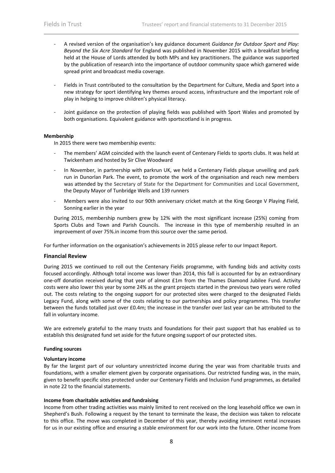- ‐ A revised version of the organisation's key guidance document *Guidance for Outdoor Sport and Play: Beyond the Six Acre Standard* for England was published in November 2015 with a breakfast briefing held at the House of Lords attended by both MPs and key practitioners. The guidance was supported by the publication of research into the importance of outdoor community space which garnered wide spread print and broadcast media coverage.
- ‐ Fields in Trust contributed to the consultation by the Department for Culture, Media and Sport into a new strategy for sport identifying key themes around access, infrastructure and the important role of play in helping to improve children's physical literacy.
- Joint guidance on the protection of playing fields was published with Sport Wales and promoted by both organisations. Equivalent guidance with sportscotland is in progress.

# **Membership**

In 2015 there were two membership events:

- The members' AGM coincided with the launch event of Centenary Fields to sports clubs. It was held at Twickenham and hosted by Sir Clive Woodward
- In November, in partnership with parkrun UK, we held a Centenary Fields plaque unveiling and park run in Dunorlan Park. The event, to promote the work of the organisation and reach new members was attended by the Secretary of State for the Department for Communities and Local Government, the Deputy Mayor of Tunbridge Wells and 139 runners
- ‐ Members were also invited to our 90th anniversary cricket match at the King George V Playing Field, Sonning earlier in the year

During 2015, membership numbers grew by 12% with the most significant increase (25%) coming from Sports Clubs and Town and Parish Councils. The increase in this type of membership resulted in an improvement of over 75%.in income from this source over the same period.

For further information on the organisation's achievements in 2015 please refer to our Impact Report.

#### **Financial Review**

During 2015 we continued to roll out the Centenary Fields programme, with funding bids and activity costs focused accordingly. Although total income was lower than 2014, this fall is accounted for by an extraordinary one‐off donation received during that year of almost £1m from the Thames Diamond Jubilee Fund. Activity costs were also lower this year by some 24% as the grant projects started in the previous two years were rolled out. The costs relating to the ongoing support for our protected sites were charged to the designated Fields Legacy Fund, along with some of the costs relating to our partnerships and policy programmes. This transfer between the funds totalled just over £0.4m; the increase in the transfer over last year can be attributed to the fall in voluntary income.

We are extremely grateful to the many trusts and foundations for their past support that has enabled us to establish this designated fund set aside for the future ongoing support of our protected sites.

# **Funding sources**

#### **Voluntary income**

By far the largest part of our voluntary unrestricted income during the year was from charitable trusts and foundations, with a smaller element given by corporate organisations. Our restricted funding was, in the main, given to benefit specific sites protected under our Centenary Fields and Inclusion Fund programmes, as detailed in note 22 to the financial statements.

# **Income from charitable activities and fundraising**

Income from other trading activities was mainly limited to rent received on the long leasehold office we own in Shepherd's Bush. Following a request by the tenant to terminate the lease, the decision was taken to relocate to this office. The move was completed in December of this year, thereby avoiding imminent rental increases for us in our existing office and ensuring a stable environment for our work into the future. Other income from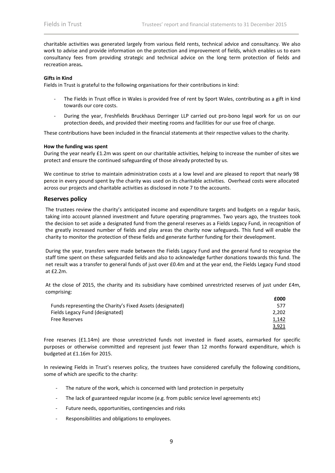charitable activities was generated largely from various field rents, technical advice and consultancy. We also work to advise and provide information on the protection and improvement of fields, which enables us to earn consultancy fees from providing strategic and technical advice on the long term protection of fields and recreation areas**.**

#### **Gifts in Kind**

Fields in Trust is grateful to the following organisations for their contributions in kind:

- The Fields in Trust office in Wales is provided free of rent by Sport Wales, contributing as a gift in kind towards our core costs.
- During the year, Freshfields Bruckhaus Derringer LLP carried out pro-bono legal work for us on our protection deeds, and provided their meeting rooms and facilities for our use free of charge.

These contributions have been included in the financial statements at their respective values to the charity.

#### **How the funding was spent**

During the year nearly £1.2m was spent on our charitable activities, helping to increase the number of sites we protect and ensure the continued safeguarding of those already protected by us.

We continue to strive to maintain administration costs at a low level and are pleased to report that nearly 98 pence in every pound spent by the charity was used on its charitable activities. Overhead costs were allocated across our projects and charitable activities as disclosed in note 7 to the accounts.

# **Reserves policy**

The trustees review the charity's anticipated income and expenditure targets and budgets on a regular basis, taking into account planned investment and future operating programmes. Two years ago, the trustees took the decision to set aside a designated fund from the general reserves as a Fields Legacy Fund, in recognition of the greatly increased number of fields and play areas the charity now safeguards. This fund will enable the charity to monitor the protection of these fields and generate further funding for their development.

During the year, transfers were made between the Fields Legacy Fund and the general fund to recognise the staff time spent on these safeguarded fields and also to acknowledge further donations towards this fund. The net result was a transfer to general funds of just over £0.4m and at the year end, the Fields Legacy Fund stood at £2.2m.

At the close of 2015, the charity and its subsidiary have combined unrestricted reserves of just under £4m, comprising:

|                                                            | £000  |
|------------------------------------------------------------|-------|
| Funds representing the Charity's Fixed Assets (designated) | 577   |
| Fields Legacy Fund (designated)                            | 2.202 |
| Free Reserves                                              | 1,142 |
|                                                            | 3,921 |

Free reserves (£1.14m) are those unrestricted funds not invested in fixed assets, earmarked for specific purposes or otherwise committed and represent just fewer than 12 months forward expenditure, which is budgeted at £1.16m for 2015.

In reviewing Fields in Trust's reserves policy, the trustees have considered carefully the following conditions, some of which are specific to the charity:

- The nature of the work, which is concerned with land protection in perpetuity
- The lack of guaranteed regular income (e.g. from public service level agreements etc)
- Future needs, opportunities, contingencies and risks
- ‐ Responsibilities and obligations to employees.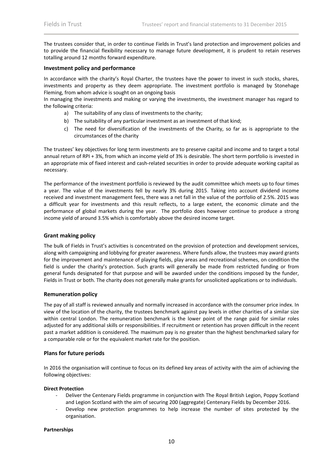The trustees consider that, in order to continue Fields in Trust's land protection and improvement policies and to provide the financial flexibility necessary to manage future development, it is prudent to retain reserves totalling around 12 months forward expenditure.

# **Investment policy and performance**

In accordance with the charity's Royal Charter, the trustees have the power to invest in such stocks, shares, investments and property as they deem appropriate. The investment portfolio is managed by Stonehage Fleming, from whom advice is sought on an ongoing basis

In managing the investments and making or varying the investments, the investment manager has regard to the following criteria:

- a) The suitability of any class of investments to the charity;
- b) The suitability of any particular investment as an investment of that kind;
- c) The need for diversification of the investments of the Charity, so far as is appropriate to the circumstances of the charity

The trustees' key objectives for long term investments are to preserve capital and income and to target a total annual return of RPI + 3%, from which an income yield of 3% is desirable. The short term portfolio is invested in an appropriate mix of fixed interest and cash-related securities in order to provide adequate working capital as necessary.

The performance of the investment portfolio is reviewed by the audit committee which meets up to four times a year. The value of the investments fell by nearly 3% during 2015. Taking into account dividend income received and investment management fees, there was a net fall in the value of the portfolio of 2.5%. 2015 was a difficult year for investments and this result reflects, to a large extent, the economic climate and the performance of global markets during the year. The portfolio does however continue to produce a strong income yield of around 3.5% which is comfortably above the desired income target.

# **Grant making policy**

The bulk of Fields in Trust's activities is concentrated on the provision of protection and development services, along with campaigning and lobbying for greater awareness. Where funds allow, the trustees may award grants for the improvement and maintenance of playing fields, play areas and recreational schemes, on condition the field is under the charity's protection. Such grants will generally be made from restricted funding or from general funds designated for that purpose and will be awarded under the conditions imposed by the funder, Fields in Trust or both. The charity does not generally make grants for unsolicited applications or to individuals.

# **Remuneration policy**

The pay of all staff is reviewed annually and normally increased in accordance with the consumer price index. In view of the location of the charity, the trustees benchmark against pay levels in other charities of a similar size within central London. The remuneration benchmark is the lower point of the range paid for similar roles adjusted for any additional skills or responsibilities. If recruitment or retention has proven difficult in the recent past a market addition is considered. The maximum pay is no greater than the highest benchmarked salary for a comparable role or for the equivalent market rate for the position.

# **Plans for future periods**

In 2016 the organisation will continue to focus on its defined key areas of activity with the aim of achieving the following objectives:

# **Direct Protection**

- ‐ Deliver the Centenary Fields programme in conjunction with The Royal British Legion, Poppy Scotland and Legion Scotland with the aim of securing 200 (aggregate) Centenary Fields by December 2016.
- ‐ Develop new protection programmes to help increase the number of sites protected by the organisation.

# **Partnerships**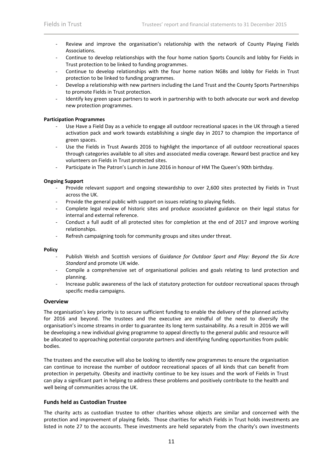- Review and improve the organisation's relationship with the network of County Playing Fields Associations.
- ‐ Continue to develop relationships with the four home nation Sports Councils and lobby for Fields in Trust protection to be linked to funding programmes.
- ‐ Continue to develop relationships with the four home nation NGBs and lobby for Fields in Trust protection to be linked to funding programmes.
- ‐ Develop a relationship with new partners including the Land Trust and the County Sports Partnerships to promote Fields in Trust protection.
- Identify key green space partners to work in partnership with to both advocate our work and develop new protection programmes.

# **Participation Programmes**

- Use Have a Field Day as a vehicle to engage all outdoor recreational spaces in the UK through a tiered activation pack and work towards establishing a single day in 2017 to champion the importance of green spaces.
- ‐ Use the Fields in Trust Awards 2016 to highlight the importance of all outdoor recreational spaces through categories available to all sites and associated media coverage. Reward best practice and key volunteers on Fields in Trust protected sites.
- ‐ Participate in The Patron's Lunch in June 2016 in honour of HM The Queen's 90th birthday.

# **Ongoing Support**

- ‐ Provide relevant support and ongoing stewardship to over 2,600 sites protected by Fields in Trust across the UK.
- ‐ Provide the general public with support on issues relating to playing fields.
- ‐ Complete legal review of historic sites and produce associated guidance on their legal status for internal and external reference.
- ‐ Conduct a full audit of all protected sites for completion at the end of 2017 and improve working relationships.
- Refresh campaigning tools for community groups and sites under threat.

# **Policy**

- ‐ Publish Welsh and Scottish versions of *Guidance for Outdoor Sport and Play: Beyond the Six Acre Standard* and promote UK wide.
- ‐ Compile a comprehensive set of organisational policies and goals relating to land protection and planning.
- ‐ Increase public awareness of the lack of statutory protection for outdoor recreational spaces through specific media campaigns.

# **Overview**

The organisation's key priority is to secure sufficient funding to enable the delivery of the planned activity for 2016 and beyond. The trustees and the executive are mindful of the need to diversify the organisation's income streams in order to guarantee its long term sustainability. As a result in 2016 we will be developing a new individual giving programme to appeal directly to the general public and resource will be allocated to approaching potential corporate partners and identifying funding opportunities from public bodies.

The trustees and the executive will also be looking to identify new programmes to ensure the organisation can continue to increase the number of outdoor recreational spaces of all kinds that can benefit from protection in perpetuity. Obesity and inactivity continue to be key issues and the work of Fields in Trust can play a significant part in helping to address these problems and positively contribute to the health and well being of communities across the UK.

# **Funds held as Custodian Trustee**

The charity acts as custodian trustee to other charities whose objects are similar and concerned with the protection and improvement of playing fields. Those charities for which Fields in Trust holds investments are listed in note 27 to the accounts. These investments are held separately from the charity's own investments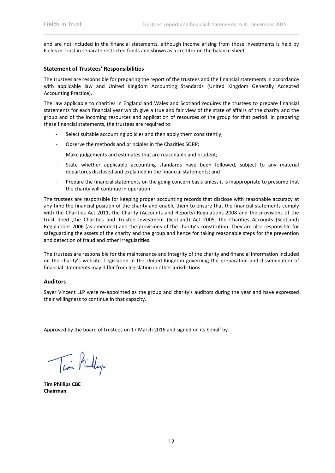and are not included in the financial statements, although income arising from those investments is held by Fields in Trust in separate restricted funds and shown as a creditor on the balance sheet.

# **Statement of Trustees' Responsibilities**

The trustees are responsible for preparing the report of the trustees and the financial statements in accordance with applicable law and United Kingdom Accounting Standards (United Kingdom Generally Accepted Accounting Practice).

The law applicable to charities in England and Wales and Scotland requires the trustees to prepare financial statements for each financial year which give a true and fair view of the state of affairs of the charity and the group and of the incoming resources and application of resources of the group for that period. In preparing these financial statements, the trustees are required to:

- Select suitable accounting policies and then apply them consistently;
- ‐ Observe the methods and principles in the Charities SORP;
- Make judgements and estimates that are reasonable and prudent;
- State whether applicable accounting standards have been followed, subject to any material departures disclosed and explained in the financial statements; and
- Prepare the financial statements on the going concern basis unless it is inappropriate to presume that the charity will continue in operation.

The trustees are responsible for keeping proper accounting records that disclose with reasonable accuracy at any time the financial position of the charity and enable them to ensure that the financial statements comply with the Charities Act 2011, the Charity (Accounts and Reports) Regulations 2008 and the provisions of the trust deed ,the Charities and Trustee Investment (Scotland) Act 2005, the Charities Accounts (Scotland) Regulations 2006 (as amended) and the provisions of the charity's constitution. They are also responsible for safeguarding the assets of the charity and the group and hence for taking reasonable steps for the prevention and detection of fraud and other irregularities.

The trustees are responsible for the maintenance and integrity of the charity and financial information included on the charity's website. Legislation in the United Kingdom governing the preparation and dissemination of financial statements may differ from legislation in other jurisdictions.

# **Auditors**

Sayer Vincent LLP were re‐appointed as the group and charity's auditors during the year and have expressed their willingness to continue in that capacity.

Approved by the board of trustees on 17 March 2016 and signed on its behalf by

Tin Prillip

**Tim Phillips CBE Chairman**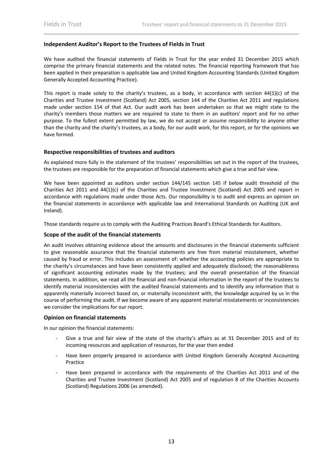# **Independent Auditor's Report to the Trustees of Fields in Trust**

We have audited the financial statements of Fields in Trust for the year ended 31 December 2015 which comprise the primary financial statements and the related notes. The financial reporting framework that has been applied in their preparation is applicable law and United Kingdom Accounting Standards (United Kingdom Generally Accepted Accounting Practice).

This report is made solely to the charity's trustees, as a body, in accordance with section  $44(1)(c)$  of the Charities and Trustee Investment (Scotland) Act 2005, section 144 of the Charities Act 2011 and regulations made under section 154 of that Act. Our audit work has been undertaken so that we might state to the charity's members those matters we are required to state to them in an auditors' report and for no other purpose. To the fullest extent permitted by law, we do not accept or assume responsibility to anyone other than the charity and the charity's trustees, as a body, for our audit work, for this report, or for the opinions we have formed.

# **Respective responsibilities of trustees and auditors**

As explained more fully in the statement of the trustees' responsibilities set out in the report of the trustees, the trustees are responsible for the preparation of financial statements which give a true and fair view.

We have been appointed as auditors under section 144/145 section 145 if below audit threshold of the Charities Act 2011 and 44(1)(c) of the Charities and Trustee Investment (Scotland) Act 2005 and report in accordance with regulations made under those Acts. Our responsibility is to audit and express an opinion on the financial statements in accordance with applicable law and International Standards on Auditing (UK and Ireland).

Those standards require us to comply with the Auditing Practices Board's Ethical Standards for Auditors.

# **Scope of the audit of the financial statements**

An audit involves obtaining evidence about the amounts and disclosures in the financial statements sufficient to give reasonable assurance that the financial statements are free from material misstatement, whether caused by fraud or error. This includes an assessment of: whether the accounting policies are appropriate to the charity's circumstances and have been consistently applied and adequately disclosed; the reasonableness of significant accounting estimates made by the trustees; and the overall presentation of the financial statements. In addition, we read all the financial and non‐financial information in the report of the trustees to identify material inconsistencies with the audited financial statements and to identify any information that is apparently materially incorrect based on, or materially inconsistent with, the knowledge acquired by us in the course of performing the audit. If we become aware of any apparent material misstatements or inconsistencies we consider the implications for our report.

# **Opinion on financial statements**

In our opinion the financial statements:

- Give a true and fair view of the state of the charity's affairs as at 31 December 2015 and of its incoming resources and application of resources, for the year then ended
- Have been properly prepared in accordance with United Kingdom Generally Accepted Accounting Practice
- Have been prepared in accordance with the requirements of the Charities Act 2011 and of the Charities and Trustee Investment (Scotland) Act 2005 and of regulation 8 of the Charities Accounts (Scotland) Regulations 2006 (as amended).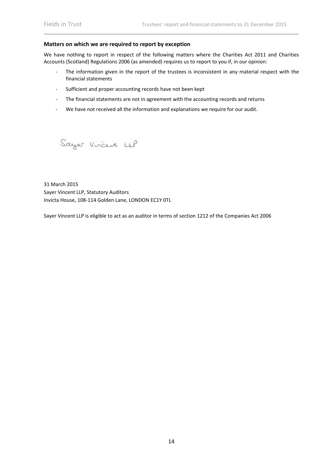#### **Matters on which we are required to report by exception**

We have nothing to report in respect of the following matters where the Charities Act 2011 and Charities Accounts (Scotland) Regulations 2006 (as amended) requires us to report to you if, in our opinion:

- ‐ The information given in the report of the trustees is inconsistent in any material respect with the financial statements
- ‐ Sufficient and proper accounting records have not been kept
- The financial statements are not in agreement with the accounting records and returns
- ‐ We have not received all the information and explanations we require for our audit.

Sayer Vircent LLP

31 March 2015 Sayer Vincent LLP, Statutory Auditors Invicta House, 108‐114 Golden Lane, LONDON EC1Y 0TL

Sayer Vincent LLP is eligible to act as an auditor in terms of section 1212 of the Companies Act 2006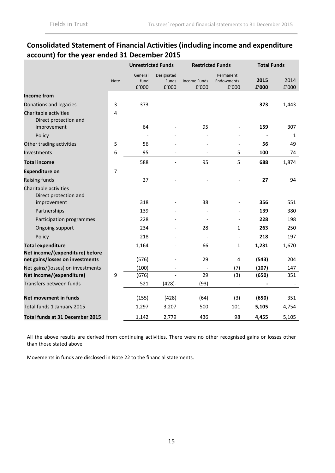# **Consolidated Statement of Financial Activities (including income and expenditure account) for the year ended 31 December 2015**

|                                                                    |      | <b>Unrestricted Funds</b> |                              | <b>Restricted Funds</b>      |                                  |               | <b>Total Funds</b>   |  |  |
|--------------------------------------------------------------------|------|---------------------------|------------------------------|------------------------------|----------------------------------|---------------|----------------------|--|--|
|                                                                    | Note | General<br>fund<br>f'000  | Designated<br>Funds<br>f'000 | <b>Income Funds</b><br>f'000 | Permanent<br>Endowments<br>f'000 | 2015<br>£'000 | 2014<br>$\rm{f}'000$ |  |  |
| <b>Income from</b>                                                 |      |                           |                              |                              |                                  |               |                      |  |  |
| Donations and legacies                                             | 3    | 373                       |                              |                              |                                  | 373           | 1,443                |  |  |
| Charitable activities<br>Direct protection and<br>improvement      | 4    | 64                        |                              | 95                           |                                  | 159           | 307                  |  |  |
| Policy                                                             |      |                           |                              |                              |                                  |               | $\mathbf{1}$         |  |  |
| Other trading activities                                           | 5    | 56                        |                              |                              |                                  | 56            | 49                   |  |  |
| Investments                                                        | 6    | 95                        |                              |                              | 5                                | 100           | 74                   |  |  |
| <b>Total income</b>                                                |      | 588                       | $\overline{\phantom{a}}$     | 95                           | 5                                | 688           | 1,874                |  |  |
| <b>Expenditure on</b>                                              | 7    |                           |                              |                              |                                  |               |                      |  |  |
| Raising funds                                                      |      | 27                        |                              |                              |                                  | 27            | 94                   |  |  |
| Charitable activities<br>Direct protection and                     |      |                           |                              |                              |                                  |               |                      |  |  |
| improvement                                                        |      | 318                       |                              | 38                           |                                  | 356           | 551                  |  |  |
| Partnerships                                                       |      | 139                       |                              |                              |                                  | 139           | 380                  |  |  |
| Participation programmes                                           |      | 228                       |                              |                              |                                  | 228           | 198                  |  |  |
| Ongoing support                                                    |      | 234                       |                              | 28                           | 1                                | 263           | 250                  |  |  |
| Policy                                                             |      | 218                       |                              |                              | $\overline{\phantom{a}}$         | 218           | 197                  |  |  |
| <b>Total expenditure</b>                                           |      | 1,164                     |                              | 66                           | $\mathbf{1}$                     | 1,231         | 1,670                |  |  |
| Net income/(expenditure) before<br>net gains/losses on investments |      | (576)                     |                              | 29                           | 4                                | (543)         | 204                  |  |  |
| Net gains/(losses) on investments                                  |      | (100)                     |                              |                              | (7)                              | (107)         | 147                  |  |  |
| Net income/(expenditure)                                           | 9    | (676)                     |                              | 29                           | (3)                              | (650)         | 351                  |  |  |
| Transfers between funds                                            |      | 521                       | $(428)-$                     | (93)                         |                                  |               |                      |  |  |
|                                                                    |      |                           |                              |                              |                                  |               |                      |  |  |
| Net movement in funds                                              |      | (155)                     | (428)                        | (64)                         | (3)                              | (650)         | 351                  |  |  |
| Total funds 1 January 2015                                         |      | 1,297                     | 3,207                        | 500                          | 101                              | 5,105         | 4,754                |  |  |
| Total funds at 31 December 2015                                    |      | 1,142                     | 2,779                        | 436                          | 98                               | 4,455         | 5,105                |  |  |

All the above results are derived from continuing activities. There were no other recognised gains or losses other than those stated above

Movements in funds are disclosed in Note 22 to the financial statements.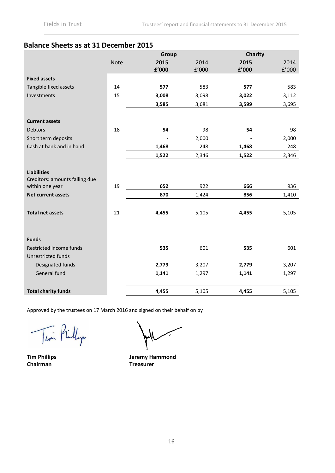# **Balance Sheets as at 31 December 2015**

|                                                      |             | Group                  |                       | Charity |                       |
|------------------------------------------------------|-------------|------------------------|-----------------------|---------|-----------------------|
|                                                      | <b>Note</b> | 2015                   | 2014                  | 2015    | 2014                  |
|                                                      |             | ${\bf f}^{\prime}$ 000 | ${\tt f}^{\prime}000$ | £'000   | ${\tt f}^{\prime}000$ |
| <b>Fixed assets</b>                                  |             |                        |                       |         |                       |
| Tangible fixed assets                                | 14          | 577                    | 583                   | 577     | 583                   |
| Investments                                          | 15          | 3,008                  | 3,098                 | 3,022   | 3,112                 |
|                                                      |             | 3,585                  | 3,681                 | 3,599   | 3,695                 |
| <b>Current assets</b>                                |             |                        |                       |         |                       |
| <b>Debtors</b>                                       | 18          | 54                     | 98                    | 54      | 98                    |
| Short term deposits                                  |             |                        | 2,000                 |         | 2,000                 |
| Cash at bank and in hand                             |             | 1,468                  | 248                   | 1,468   | 248                   |
|                                                      |             | 1,522                  | 2,346                 | 1,522   | 2,346                 |
| <b>Liabilities</b><br>Creditors: amounts falling due |             | 652                    |                       |         |                       |
| within one year                                      | 19          |                        | 922                   | 666     | 936                   |
| <b>Net current assets</b>                            |             | 870                    | 1,424                 | 856     | 1,410                 |
| <b>Total net assets</b>                              | 21          | 4,455                  | 5,105                 | 4,455   | 5,105                 |
| <b>Funds</b>                                         |             |                        |                       |         |                       |
| Restricted income funds                              |             | 535                    | 601                   | 535     | 601                   |
| Unrestricted funds                                   |             |                        |                       |         |                       |
| Designated funds                                     |             | 2,779                  | 3,207                 | 2,779   | 3,207                 |
| General fund                                         |             | 1,141                  | 1,297                 | 1,141   | 1,297                 |
| <b>Total charity funds</b>                           |             | 4,455                  | 5,105                 | 4,455   | 5,105                 |

Approved by the trustees on 17 March 2016 and signed on their behalf on by

Tin Prillip

**Tim Phillips Chairman**

**Jeremy Hammond Treasurer**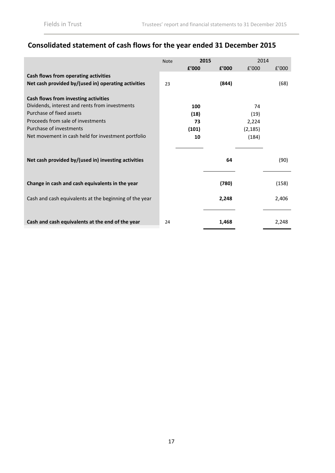# **Consolidated statement of cash flows for the year ended 31 December 2015**

|                                                        | <b>Note</b> | 2015  |       | 2014     |       |
|--------------------------------------------------------|-------------|-------|-------|----------|-------|
|                                                        |             | f'000 | f'000 | f'000    | f'000 |
| Cash flows from operating activities                   |             |       |       |          |       |
| Net cash provided by/(used in) operating activities    | 23          |       | (844) |          | (68)  |
|                                                        |             |       |       |          |       |
| Cash flows from investing activities                   |             |       |       |          |       |
| Dividends, interest and rents from investments         |             | 100   |       | 74       |       |
| Purchase of fixed assets                               |             | (18)  |       | (19)     |       |
| Proceeds from sale of investments                      |             | 73    |       | 2,224    |       |
| Purchase of investments                                |             | (101) |       | (2, 185) |       |
| Net movement in cash held for investment portfolio     |             | 10    |       | (184)    |       |
|                                                        |             |       |       |          |       |
|                                                        |             |       |       |          |       |
| Net cash provided by/(used in) investing activities    |             |       | 64    |          | (90)  |
|                                                        |             |       |       |          |       |
|                                                        |             |       |       |          |       |
| Change in cash and cash equivalents in the year        |             |       | (780) |          | (158) |
|                                                        |             |       |       |          |       |
| Cash and cash equivalents at the beginning of the year |             |       | 2,248 |          | 2,406 |
|                                                        |             |       |       |          |       |
|                                                        |             |       |       |          |       |
| Cash and cash equivalents at the end of the year       | 24          |       | 1,468 |          | 2,248 |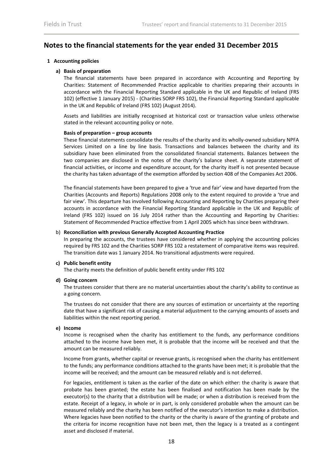# **Notes to the financial statements for the year ended 31 December 2015**

# **1 Accounting policies**

# **a) Basis of preparation**

The financial statements have been prepared in accordance with Accounting and Reporting by Charities: Statement of Recommended Practice applicable to charities preparing their accounts in accordance with the Financial Reporting Standard applicable in the UK and Republic of Ireland (FRS 102) (effective 1 January 2015) ‐ (Charities SORP FRS 102), the Financial Reporting Standard applicable in the UK and Republic of Ireland (FRS 102) (August 2014).

Assets and liabilities are initially recognised at historical cost or transaction value unless otherwise stated in the relevant accounting policy or note.

# **Basis of preparation – group accounts**

These financial statements consolidate the results of the charity and its wholly‐owned subsidiary NPFA Services Limited on a line by line basis. Transactions and balances between the charity and its subsidiary have been eliminated from the consolidated financial statements. Balances between the two companies are disclosed in the notes of the charity's balance sheet. A separate statement of financial activities, or income and expenditure account, for the charity itself is not presented because the charity has taken advantage of the exemption afforded by section 408 of the Companies Act 2006.

The financial statements have been prepared to give a 'true and fair' view and have departed from the Charities (Accounts and Reports) Regulations 2008 only to the extent required to provide a 'true and fair view'. This departure has involved following Accounting and Reporting by Charities preparing their accounts in accordance with the Financial Reporting Standard applicable in the UK and Republic of Ireland (FRS 102) issued on 16 July 2014 rather than the Accounting and Reporting by Charities: Statement of Recommended Practice effective from 1 April 2005 which has since been withdrawn.

#### b) **Reconciliation with previous Generally Accepted Accounting Practice**

In preparing the accounts, the trustees have considered whether in applying the accounting policies required by FRS 102 and the Charities SORP FRS 102 a restatement of comparative items was required. The transition date was 1 January 2014. No transitional adjustments were required.

# **c) Public benefit entity**

The charity meets the definition of public benefit entity under FRS 102

# **d) Going concern**

The trustees consider that there are no material uncertainties about the charity's ability to continue as a going concern.

The trustees do not consider that there are any sources of estimation or uncertainty at the reporting date that have a significant risk of causing a material adjustment to the carrying amounts of assets and liabilities within the next reporting period.

# **e) Income**

Income is recognised when the charity has entitlement to the funds, any performance conditions attached to the income have been met, it is probable that the income will be received and that the amount can be measured reliably.

Income from grants, whether capital or revenue grants, is recognised when the charity has entitlement to the funds; any performance conditions attached to the grants have been met; it is probable that the income will be received; and the amount can be measured reliably and is not deferred.

For legacies, entitlement is taken as the earlier of the date on which either: the charity is aware that probate has been granted; the estate has been finalised and notification has been made by the executor(s) to the charity that a distribution will be made; or when a distribution is received from the estate. Receipt of a legacy, in whole or in part, is only considered probable when the amount can be measured reliably and the charity has been notified of the executor's intention to make a distribution. Where legacies have been notified to the charity or the charity is aware of the granting of probate and the criteria for income recognition have not been met, then the legacy is a treated as a contingent asset and disclosed if material.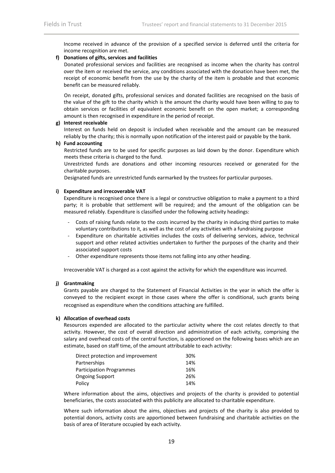Income received in advance of the provision of a specified service is deferred until the criteria for income recognition are met.

# **f) Donations of gifts, services and facilities**

Donated professional services and facilities are recognised as income when the charity has control over the item or received the service, any conditions associated with the donation have been met, the receipt of economic benefit from the use by the charity of the item is probable and that economic benefit can be measured reliably.

On receipt, donated gifts, professional services and donated facilities are recognised on the basis of the value of the gift to the charity which is the amount the charity would have been willing to pay to obtain services or facilities of equivalent economic benefit on the open market; a corresponding amount is then recognised in expenditure in the period of receipt.

#### **g) Interest receivable**

Interest on funds held on deposit is included when receivable and the amount can be measured reliably by the charity; this is normally upon notification of the interest paid or payable by the bank.

#### **h) Fund accounting**

Restricted funds are to be used for specific purposes as laid down by the donor. Expenditure which meets these criteria is charged to the fund.

Unrestricted funds are donations and other incoming resources received or generated for the charitable purposes.

Designated funds are unrestricted funds earmarked by the trustees for particular purposes.

#### **i) Expenditure and irrecoverable VAT**

Expenditure is recognised once there is a legal or constructive obligation to make a payment to a third party; it is probable that settlement will be required; and the amount of the obligation can be measured reliably. Expenditure is classified under the following activity headings:

- ‐ Costs of raising funds relate to the costs incurred by the charity in inducing third parties to make voluntary contributions to it, as well as the cost of any activities with a fundraising purpose
- ‐ Expenditure on charitable activities includes the costs of delivering services, advice, technical support and other related activities undertaken to further the purposes of the charity and their associated support costs
- ‐ Other expenditure represents those items not falling into any other heading.

Irrecoverable VAT is charged as a cost against the activity for which the expenditure was incurred.

# **j) Grantmaking**

Grants payable are charged to the Statement of Financial Activities in the year in which the offer is conveyed to the recipient except in those cases where the offer is conditional, such grants being recognised as expenditure when the conditions attaching are fulfilled.

# **k) Allocation of overhead costs**

Resources expended are allocated to the particular activity where the cost relates directly to that activity. However, the cost of overall direction and administration of each activity, comprising the salary and overhead costs of the central function, is apportioned on the following bases which are an estimate, based on staff time, of the amount attributable to each activity:

| Direct protection and improvement | 30% |
|-----------------------------------|-----|
| Partnerships                      | 14% |
| <b>Participation Programmes</b>   | 16% |
| <b>Ongoing Support</b>            | 26% |
| Policy                            | 14% |

Where information about the aims, objectives and projects of the charity is provided to potential beneficiaries, the costs associated with this publicity are allocated to charitable expenditure.

Where such information about the aims, objectives and projects of the charity is also provided to potential donors, activity costs are apportioned between fundraising and charitable activities on the basis of area of literature occupied by each activity.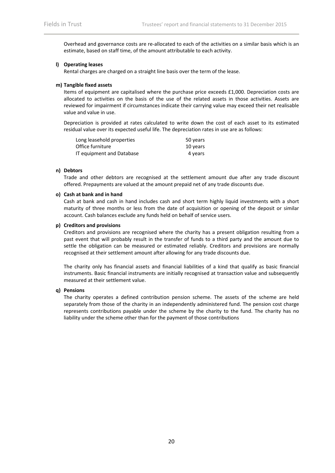Overhead and governance costs are re‐allocated to each of the activities on a similar basis which is an estimate, based on staff time, of the amount attributable to each activity.

#### **l) Operating leases**

Rental charges are charged on a straight line basis over the term of the lease.

#### **m) Tangible fixed assets**

Items of equipment are capitalised where the purchase price exceeds £1,000. Depreciation costs are allocated to activities on the basis of the use of the related assets in those activities. Assets are reviewed for impairment if circumstances indicate their carrying value may exceed their net realisable value and value in use.

Depreciation is provided at rates calculated to write down the cost of each asset to its estimated residual value over its expected useful life. The depreciation rates in use are as follows:

| Long leasehold properties | 50 years |
|---------------------------|----------|
| Office furniture          | 10 years |
| IT equipment and Database | 4 years  |

#### **n) Debtors**

Trade and other debtors are recognised at the settlement amount due after any trade discount offered. Prepayments are valued at the amount prepaid net of any trade discounts due.

#### **o) Cash at bank and in hand**

Cash at bank and cash in hand includes cash and short term highly liquid investments with a short maturity of three months or less from the date of acquisition or opening of the deposit or similar account. Cash balances exclude any funds held on behalf of service users.

#### **p) Creditors and provisions**

Creditors and provisions are recognised where the charity has a present obligation resulting from a past event that will probably result in the transfer of funds to a third party and the amount due to settle the obligation can be measured or estimated reliably. Creditors and provisions are normally recognised at their settlement amount after allowing for any trade discounts due.

The charity only has financial assets and financial liabilities of a kind that qualify as basic financial instruments. Basic financial instruments are initially recognised at transaction value and subsequently measured at their settlement value.

#### **q) Pensions**

The charity operates a defined contribution pension scheme. The assets of the scheme are held separately from those of the charity in an independently administered fund. The pension cost charge represents contributions payable under the scheme by the charity to the fund. The charity has no liability under the scheme other than for the payment of those contributions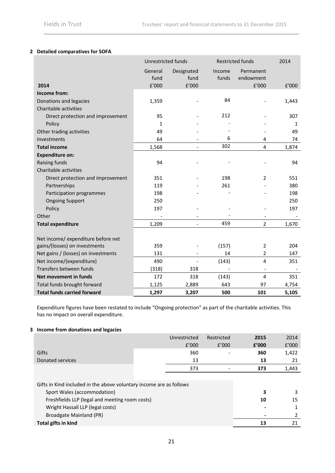# **2 Detailed comparatives for SOFA**

|                                     | Unrestricted funds |                          |        | <b>Restricted funds</b>  | 2014         |
|-------------------------------------|--------------------|--------------------------|--------|--------------------------|--------------|
|                                     | General            | Designated               | Income | Permanent                |              |
|                                     | fund               | fund                     | funds  | endowment                |              |
| 2014                                | £'000              | £'000                    |        | £'000                    | £'000        |
| Income from:                        |                    |                          |        |                          |              |
| Donations and legacies              | 1,359              |                          | 84     |                          | 1,443        |
| Charitable activities               |                    |                          |        |                          |              |
| Direct protection and improvement   | 95                 |                          | 212    |                          | 307          |
| Policy                              | $\mathbf{1}$       |                          |        |                          | $\mathbf{1}$ |
| Other trading activities            | 49                 |                          |        |                          | 49           |
| Investments                         | 64                 |                          | 6      | 4                        | 74           |
| <b>Total income</b>                 | 1,568              | $\overline{\phantom{a}}$ | 302    | $\overline{\mathbf{4}}$  | 1,874        |
| <b>Expenditure on:</b>              |                    |                          |        |                          |              |
| Raising funds                       | 94                 |                          |        |                          | 94           |
| Charitable activities               |                    |                          |        |                          |              |
| Direct protection and improvement   | 351                |                          | 198    | $\overline{2}$           | 551          |
| Partnerships                        | 119                |                          | 261    |                          | 380          |
| Participation programmes            | 198                |                          |        |                          | 198          |
| <b>Ongoing Support</b>              | 250                |                          |        |                          | 250          |
| Policy                              | 197                |                          |        |                          | 197          |
| Other                               |                    |                          |        |                          |              |
| <b>Total expenditure</b>            | 1,209              | $\overline{\phantom{a}}$ | 459    | $\overline{2}$           | 1,670        |
|                                     |                    |                          |        |                          |              |
| Net income/ expenditure before net  |                    |                          |        |                          |              |
| gains/(losses) on investments       | 359                |                          | (157)  | $\overline{2}$           | 204          |
| Net gains / (losses) on investments | 131                | $\overline{\phantom{a}}$ | 14     | 2                        | 147          |
| Net income/(expenditure)            | 490                |                          | (143)  | 4                        | 351          |
| Transfers between funds             | (318)              | 318                      |        | $\overline{\phantom{a}}$ |              |
| Net movement in funds               | 172                | 318                      | (143)  | 4                        | 351          |
| Total funds brought forward         | 1,125              | 2,889                    | 643    | 97                       | 4,754        |
| <b>Total funds carried forward</b>  | 1,297              | 3,207                    | 500    | 101                      | 5,105        |

Expenditure figures have been restated to include "Ongoing protection" as part of the charitable activities. This has no impact on overall expenditure.

# **3 Income from donations and legacies**

|                                                                                                                                                                                          | Unrestricted<br>f'000 | Restricted<br>f'000 | 2015<br>f'000 | 2014<br>f'000 |
|------------------------------------------------------------------------------------------------------------------------------------------------------------------------------------------|-----------------------|---------------------|---------------|---------------|
| Gifts                                                                                                                                                                                    | 360                   |                     | 360           | 1,422         |
| Donated services                                                                                                                                                                         | 13                    |                     | 13            | 21            |
|                                                                                                                                                                                          | 373                   |                     | 373           | 1,443         |
| Gifts in Kind included in the above voluntary income are as follows<br>Sport Wales (accommodation)<br>Freshfields LLP (legal and meeting room costs)<br>Wright Hassall LLP (legal costs) | 3<br>10               | 3<br>15             |               |               |
| Broadgate Mainland (PR)                                                                                                                                                                  |                       |                     |               | 2             |
| Total gifts in kind                                                                                                                                                                      |                       |                     | 13            | 21            |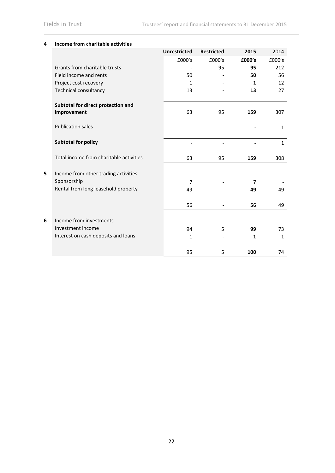|   |                                         | <b>Unrestricted</b> | <b>Restricted</b> | 2015   | 2014         |
|---|-----------------------------------------|---------------------|-------------------|--------|--------------|
|   |                                         | £000's              | £000's            | £000's | £000's       |
|   | Grants from charitable trusts           |                     | 95                | 95     | 212          |
|   | Field income and rents                  | 50                  |                   | 50     | 56           |
|   | Project cost recovery                   | $\mathbf{1}$        |                   | 1      | 12           |
|   | <b>Technical consultancy</b>            | 13                  |                   | 13     | 27           |
|   |                                         |                     |                   |        |              |
|   | Subtotal for direct protection and      |                     |                   |        |              |
|   | improvement                             | 63                  | 95                | 159    | 307          |
|   |                                         |                     |                   |        |              |
|   | <b>Publication sales</b>                |                     |                   |        | $\mathbf{1}$ |
|   |                                         |                     |                   |        |              |
|   | <b>Subtotal for policy</b>              |                     |                   |        | $\mathbf{1}$ |
|   | Total income from charitable activities | 63                  | 95                | 159    |              |
|   |                                         |                     |                   |        | 308          |
| 5 | Income from other trading activities    |                     |                   |        |              |
|   | Sponsorship                             | $\overline{7}$      |                   | 7      |              |
|   | Rental from long leasehold property     |                     |                   |        |              |
|   |                                         | 49                  |                   | 49     | 49           |
|   |                                         | 56                  |                   | 56     | 49           |
|   |                                         |                     |                   |        |              |
| 6 | Income from investments                 |                     |                   |        |              |
|   | Investment income                       | 94                  | 5                 | 99     | 73           |
|   | Interest on cash deposits and loans     | $\mathbf{1}$        |                   | 1      | $\mathbf{1}$ |
|   |                                         |                     |                   |        |              |
|   |                                         | 95                  | 5                 | 100    | 74           |
|   |                                         |                     |                   |        |              |

# **4 Income from charitable activities**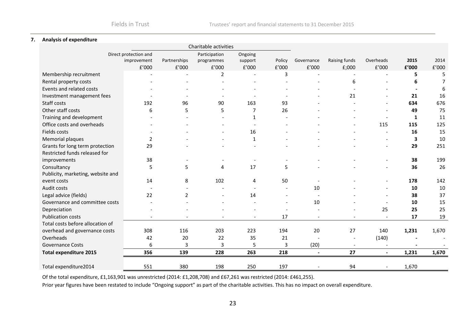#### **7. Analysis of expenditure**

| Charitable activities             |                       |                |               |                          |                |                |               |                          |       |                |
|-----------------------------------|-----------------------|----------------|---------------|--------------------------|----------------|----------------|---------------|--------------------------|-------|----------------|
|                                   | Direct protection and |                | Participation | Ongoing                  |                |                |               |                          |       |                |
| improvement                       |                       | Partnerships   | programmes    | support                  | Policy         | Governance     | Raising funds | Overheads                | 2015  | 2014           |
|                                   | ${\tt f}^{\prime}000$ | $\rm{f}'000$   | E'000         | f'000                    | f'000          | $\rm{f}'000$   | $E$ ;000      | ${\tt f}^{\prime}000$    | f'000 | f'000          |
| Membership recruitment            |                       |                | 2             | $\overline{\phantom{a}}$ | 3              |                |               |                          | 5     | 5              |
| Rental property costs             |                       |                |               |                          |                |                | 6             |                          | 6     | $\overline{7}$ |
| Events and related costs          |                       |                |               |                          |                |                |               |                          |       | 6              |
| Investment management fees        |                       |                |               |                          |                |                | 21            |                          | 21    | 16             |
| Staff costs                       | 192                   | 96             | 90            | 163                      | 93             |                |               |                          | 634   | 676            |
| Other staff costs                 | 6                     | 5              | 5             | $\overline{7}$           | 26             |                |               |                          | 49    | 75             |
| Training and development          |                       |                |               | $\mathbf{1}$             |                |                |               |                          | 1     | 11             |
| Office costs and overheads        |                       |                |               |                          |                |                |               | 115                      | 115   | 125            |
| Fields costs                      |                       |                |               | 16                       |                |                |               |                          | 16    | 15             |
| Memorial plaques                  | $\overline{2}$        |                |               | $\mathbf{1}$             |                |                |               |                          | 3     | 10             |
| Grants for long term protection   | 29                    |                |               |                          |                |                |               |                          | 29    | 251            |
| Restricted funds released for     |                       |                |               |                          |                |                |               |                          |       |                |
| improvements                      | 38                    |                |               |                          |                |                |               |                          | 38    | 199            |
| Consultancy                       | 5                     | 5              | 4             | 17                       | 5              |                |               |                          | 36    | 26             |
| Publicity, marketing, website and |                       |                |               |                          |                |                |               |                          |       |                |
| event costs                       | 14                    | 8              | 102           | 4                        | 50             |                |               |                          | 178   | 142            |
| Audit costs                       |                       |                |               |                          |                | 10             |               |                          | 10    | 10             |
| Legal advice (fields)             | 22                    | $\overline{2}$ |               | 14                       |                |                |               |                          | 38    | 37             |
| Governance and committee costs    |                       |                |               |                          | $\overline{a}$ | 10             |               |                          | 10    | 15             |
| Depreciation                      |                       |                |               |                          |                |                |               | 25                       | 25    | 25             |
| <b>Publication costs</b>          |                       |                |               |                          | 17             |                |               |                          | 17    | 19             |
| Total costs before allocation of  |                       |                |               |                          |                |                |               |                          |       |                |
| overhead and governance costs     | 308                   | 116            | 203           | 223                      | 194            | 20             | 27            | 140                      | 1,231 | 1,670          |
| Overheads                         | 42                    | 20             | 22            | 35                       | 21             |                |               | (140)                    |       |                |
| <b>Governance Costs</b>           | 6                     | 3              | 3             | 5                        | 3              | (20)           |               |                          |       |                |
| <b>Total expenditure 2015</b>     | 356                   | 139            | 228           | 263                      | 218            | $\blacksquare$ | 27            | $\blacksquare$           | 1,231 | 1,670          |
|                                   |                       |                |               |                          |                |                |               |                          |       |                |
| Total expenditure2014             | 551                   | 380            | 198           | 250                      | 197            |                | 94            | $\overline{\phantom{a}}$ | 1,670 |                |

Of the total expenditure, £1,163,901 was unrestricted (2014: £1,208,708) and £67,261 was restricted (2014: £461,255).

Prior year figures have been restated to include "Ongoing support" as part of the charitable activities. This has no impact on overall expenditure.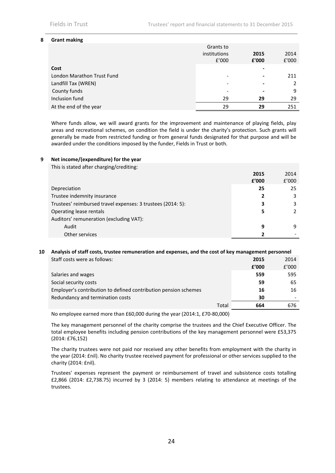#### **8 Grant making**

|                            | Grants to             |               |               |
|----------------------------|-----------------------|---------------|---------------|
|                            | institutions<br>f'000 | 2015<br>£'000 | 2014<br>£'000 |
| Cost                       |                       |               |               |
| London Marathon Trust Fund |                       |               | 211           |
| Landfill Tax (WREN)        |                       | -             | 2             |
| County funds               |                       |               | 9             |
| Inclusion fund             | 29                    | 29            | 29            |
| At the end of the year     | 29                    | 29            | 251           |

Where funds allow, we will award grants for the improvement and maintenance of playing fields, play areas and recreational schemes, on condition the field is under the charity's protection. Such grants will generally be made from restricted funding or from general funds designated for that purpose and will be awarded under the conditions imposed by the funder, Fields in Trust or both.

# **9 Net income/(expenditure) for the year**

| This is stated after charging/crediting:                    |       |       |
|-------------------------------------------------------------|-------|-------|
|                                                             | 2015  | 2014  |
|                                                             | £'000 | f'000 |
| Depreciation                                                | 25    | 25    |
| Trustee indemnity insurance                                 | 2     | 3     |
| Trustees' reimbursed travel expenses: 3 trustees (2014: 5): | 3     | 3     |
| Operating lease rentals                                     | 5     |       |
| Auditors' remuneration (excluding VAT):                     |       |       |
| Audit                                                       | 9     | 9     |
| Other services                                              |       |       |

# **10 Analysis of staff costs, trustee remuneration and expenses, and the cost of key management personnel**

| Staff costs were as follows:                                    | 2015  | 2014  |
|-----------------------------------------------------------------|-------|-------|
|                                                                 | f'000 | f'000 |
| Salaries and wages                                              | 559   | 595   |
| Social security costs                                           | 59    | 65    |
| Employer's contribution to defined contribution pension schemes | 16    | 16    |
| Redundancy and termination costs                                | 30    |       |
| Total                                                           | 664   | 676   |
|                                                                 |       |       |

No employee earned more than £60,000 during the year (2014:1, £70‐80,000)

The key management personnel of the charity comprise the trustees and the Chief Executive Officer. The total employee benefits including pension contributions of the key management personnel were £53,375 (2014: £76,152)

The charity trustees were not paid nor received any other benefits from employment with the charity in the year (2014: £nil). No charity trustee received payment for professional or other services supplied to the charity (2014: £nil).

Trustees' expenses represent the payment or reimbursement of travel and subsistence costs totalling £2,866 (2014: £2,738.75) incurred by 3 (2014: 5) members relating to attendance at meetings of the trustees.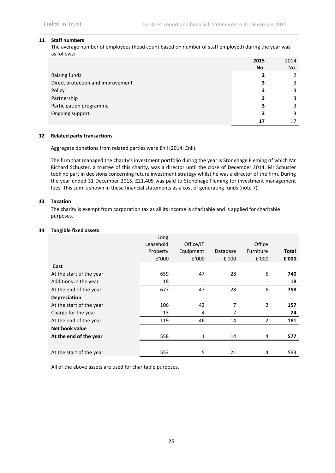#### **11 Staff numbers**

The average number of employees (head count based on number of staff employed) during the year was as follows:

|                                   | 2015 | 2014 |
|-----------------------------------|------|------|
|                                   | No.  | No.  |
| Raising funds                     |      |      |
| Direct protection and improvement |      | 3    |
| Policy                            | 3    | 3    |
| Partnership                       | 3    | 3    |
| Participation programme           |      | 3    |
| Ongoing support                   |      |      |
|                                   |      |      |

#### **12 Related party transactions**

Aggregate donations from related parties were £nil (2014: £nil).

The firm that managed the charity's investment portfolio during the year is Stonehage Fleming of which Mr Richard Schuster, a trustee of this charity, was a director until the close of December 2014. Mr Schuster took no part in decisions concerning future investment strategy whilst he was a director of the firm. During the year ended 31 December 2015, £21,405 was paid to Stonehage Fleming for investment management fees. This sum is shown in these financial statements as a cost of generating funds (note 7).

#### **13 Taxation**

The charity is exempt from corporation tax as all its income is charitable and is applied for charitable purposes.

# **14 Tangible fixed assets**

|                          | Long<br>Leasehold | Office/IT |          | Office         |       |
|--------------------------|-------------------|-----------|----------|----------------|-------|
|                          | Property          | Equipment | Database | Furniture      | Total |
|                          | £'000             | E'000     | E'000    | E'000          | £'000 |
| Cost                     |                   |           |          |                |       |
| At the start of the year | 659               | 47        | 28       | 6              | 740   |
| Additions in the year    | 18                |           |          |                | 18    |
| At the end of the year   | 677               | 47        | 28       | 6              | 758   |
| <b>Depreciation</b>      |                   |           |          |                |       |
| At the start of the year | 106               | 42        | 7        | $\overline{2}$ | 157   |
| Charge for the year      | 13                | 4         | 7        |                | 24    |
| At the end of the year   | 119               | 46        | 14       | $\overline{2}$ | 181   |
| Net book value           |                   |           |          |                |       |
| At the end of the year   | 558               | 1         | 14       | 4              | 577   |
|                          |                   |           |          |                |       |
| At the start of the year | 553               | 5         | 21       | 4              | 583   |

All of the above assets are used for charitable purposes.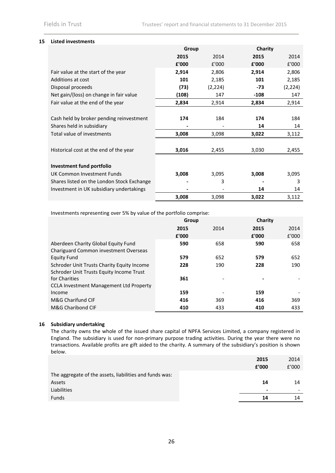# **15 Listed investments**

|                                            | Group |          | Charity |          |
|--------------------------------------------|-------|----------|---------|----------|
|                                            | 2015  | 2014     | 2015    | 2014     |
|                                            | £'000 | £'000    | £'000   | £'000    |
| Fair value at the start of the year        | 2,914 | 2,806    | 2,914   | 2,806    |
| Additions at cost                          | 101   | 2,185    | 101     | 2,185    |
| Disposal proceeds                          | (73)  | (2, 224) | -73     | (2, 224) |
| Net gain/(loss) on change in fair value    | (108) | 147      | -108    | 147      |
| Fair value at the end of the year          | 2,834 | 2,914    | 2,834   | 2,914    |
|                                            |       |          |         |          |
| Cash held by broker pending reinvestment   | 174   | 184      | 174     | 184      |
| Shares held in subsidiary                  |       |          | 14      | 14       |
| Total value of investments                 | 3,008 | 3,098    | 3,022   | 3,112    |
|                                            |       |          |         |          |
| Historical cost at the end of the year     | 3,016 | 2,455    | 3,030   | 2,455    |
|                                            |       |          |         |          |
| Investment fund portfolio                  |       |          |         |          |
| UK Common Investment Funds                 | 3,008 | 3,095    | 3,008   | 3,095    |
| Shares listed on the London Stock Exchange |       | 3        |         | 3        |
| Investment in UK subsidiary undertakings   |       |          | 14      | 14       |
|                                            | 3,008 | 3,098    | 3,022   | 3,112    |

Investments representing over 5% by value of the portfolio comprise:

|                                                | Group |      | Charity |       |
|------------------------------------------------|-------|------|---------|-------|
|                                                | 2015  | 2014 | 2015    | 2014  |
|                                                | £'000 |      | £'000   | £'000 |
| Aberdeen Charity Global Equity Fund            | 590   | 658  | 590     | 658   |
| <b>Chariguard Common investment Overseas</b>   |       |      |         |       |
| Equity Fund                                    | 579   | 652  | 579     | 652   |
| Schroder Unit Trusts Charity Equity Income     | 228   | 190  | 228     | 190   |
| Schroder Unit Trusts Equity Income Trust       |       |      |         |       |
| for Charities                                  | 361   |      |         |       |
| <b>CCLA Investment Management Ltd Property</b> |       |      |         |       |
| Income                                         | 159   |      | 159     |       |
| M&G Charifund CIF                              | 416   | 369  | 416     | 369   |
| M&G Charibond CIF                              | 410   | 433  | 410     | 433   |

# **16 Subsidiary undertaking**

The charity owns the whole of the issued share capital of NPFA Services Limited, a company registered in England. The subsidiary is used for non‐primary purpose trading activities. During the year there were no transactions. Available profits are gift aided to the charity. A summary of the subsidiary's position is shown below.

|                                                         | 2015                     | 2014  |
|---------------------------------------------------------|--------------------------|-------|
|                                                         | f'000                    | E'000 |
| The aggregate of the assets, liabilities and funds was: |                          |       |
| Assets                                                  | 14                       | 14    |
| Liabilities                                             | $\overline{\phantom{0}}$ |       |
| <b>Funds</b>                                            | 14                       | 14    |
|                                                         |                          |       |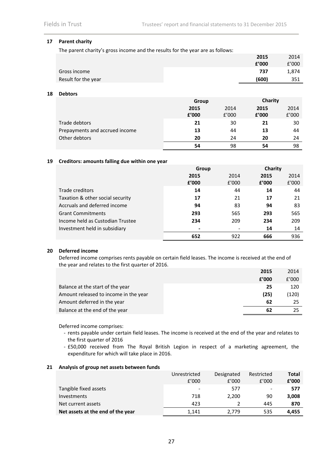# **17 Parent charity**

The parent charity's gross income and the results for the year are as follows:

|                     | 2015  | 2014  |
|---------------------|-------|-------|
|                     | f'000 | f'000 |
| Gross income        | 737   | 1.874 |
| Result for the year | (600) | 351   |

#### **18 Debtors**

|                                | Group         |               | Charity       |               |
|--------------------------------|---------------|---------------|---------------|---------------|
|                                | 2015<br>f'000 | 2014<br>f'000 | 2015<br>f'000 | 2014<br>f'000 |
| Trade debtors                  | 21            | 30            | 21            | 30            |
| Prepayments and accrued income | 13            | 44            | 13            | 44            |
| Other debtors                  | 20            | 24            | 20            | 24            |
|                                | 54            | 98            | 54            | 98            |

#### **19 Creditors: amounts falling due within one year**

|                                  | Group |       | Charity |       |
|----------------------------------|-------|-------|---------|-------|
|                                  | 2015  | 2014  | 2015    | 2014  |
|                                  | f'000 | E'000 | f'000   | £'000 |
| Trade creditors                  | 14    | 44    | 14      | 44    |
| Taxation & other social security | 17    | 21    | 17      | 21    |
| Accruals and deferred income     | 94    | 83    | 94      | 83    |
| <b>Grant Commitments</b>         | 293   | 565   | 293     | 565   |
| Income held as Custodian Trustee | 234   | 209   | 234     | 209   |
| Investment held in subsidiary    | ۰     |       | 14      | 14    |
|                                  | 652   | 922   | 666     | 936   |

#### **20 Deferred income**

Deferred income comprises rents payable on certain field leases. The income is received at the end of the year and relates to the first quarter of 2016. **2015** 2014

|                                       | 2015  | 2014  |
|---------------------------------------|-------|-------|
|                                       | f'000 | f'000 |
| Balance at the start of the year      | 25    | 120   |
| Amount released to income in the year | (25)  | (120) |
| Amount deferred in the year           | 62    | 25    |
| Balance at the end of the year        | 62    |       |

Deferred income comprises:

- ‐ rents payable under certain field leases. The income is received at the end of the year and relates to the first quarter of 2016
- ‐ £50,000 received from The Royal British Legion in respect of a marketing agreement, the expenditure for which will take place in 2016.

#### **21 Analysis of group net assets between funds**

|                                   | Unrestricted    | Designated | Restricted               | Total |
|-----------------------------------|-----------------|------------|--------------------------|-------|
|                                   | f'000           | f'000      | f'000                    | f'000 |
| Tangible fixed assets             | $\qquad \qquad$ | 577        | $\overline{\phantom{a}}$ | 577   |
| Investments                       | 718             | 2.200      | 90                       | 3,008 |
| Net current assets                | 423             |            | 445                      | 870   |
| Net assets at the end of the year | 1.141           | 2.779      | 535                      | 4.455 |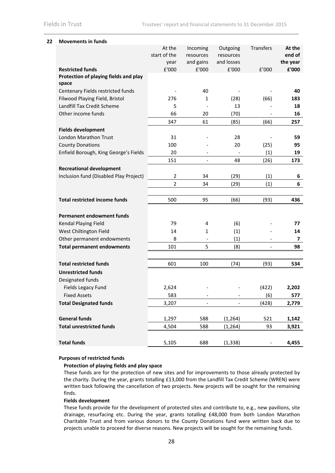# **22 Movements in funds**

|                                                | At the       | Incoming                 | Outgoing   | Transfers | At the   |
|------------------------------------------------|--------------|--------------------------|------------|-----------|----------|
|                                                | start of the | resources                | resources  |           | end of   |
|                                                | year         | and gains                | and losses |           | the year |
| <b>Restricted funds</b>                        | £'000        | £'000                    | £'000      | f'000     | £'000    |
| Protection of playing fields and play<br>space |              |                          |            |           |          |
| Centenary Fields restricted funds              |              | 40                       |            |           | 40       |
| Filwood Playing Field, Bristol                 | 276          | 1                        | (28)       | (66)      | 183      |
| Landfill Tax Credit Scheme                     | 5            |                          | 13         |           | 18       |
| Other income funds                             | 66           | 20                       | (70)       |           | 16       |
|                                                | 347          | 61                       | (85)       | (66)      | 257      |
| <b>Fields development</b>                      |              |                          |            |           |          |
| <b>London Marathon Trust</b>                   | 31           |                          | 28         |           | 59       |
| <b>County Donations</b>                        | 100          |                          | 20         | (25)      | 95       |
| Enfield Borough, King George's Fields          | 20           |                          |            | (1)       | 19       |
|                                                | 151          |                          | 48         | (26)      | 173      |
| <b>Recreational development</b>                |              |                          |            |           |          |
| Inclusion fund (Disabled Play Project)         | 2            | 34                       | (29)       | (1)       | 6        |
|                                                | 2            | 34                       | (29)       | (1)       | 6        |
|                                                |              |                          |            |           |          |
| <b>Total restricted income funds</b>           | 500          | 95                       | (66)       | (93)      | 436      |
| <b>Permanent endowment funds</b>               |              |                          |            |           |          |
| Kendal Playing Field                           | 79           | 4                        | (6)        |           | 77       |
| West Chiltington Field                         | 14           | $\mathbf{1}$             | (1)        |           | 14       |
| Other permanent endowments                     | 8            | $\overline{\phantom{a}}$ | (1)        |           | 7        |
| <b>Total permanent endowments</b>              | 101          | 5                        | (8)        |           | 98       |
|                                                |              |                          |            |           |          |
| <b>Total restricted funds</b>                  | 601          | 100                      | (74)       | (93)      | 534      |
| <b>Unrestricted funds</b>                      |              |                          |            |           |          |
| Designated funds                               |              |                          |            |           |          |
| Fields Legacy Fund                             | 2,624        |                          |            | (422)     | 2,202    |
| <b>Fixed Assets</b>                            | 583          |                          |            | (6)       | 577      |
| <b>Total Designated funds</b>                  | 3,207        |                          |            | (428)     | 2,779    |
| <b>General funds</b>                           | 1,297        | 588                      | (1, 264)   | 521       | 1,142    |
| <b>Total unrestricted funds</b>                | 4,504        | 588                      | (1, 264)   | 93        | 3,921    |
|                                                |              |                          |            |           |          |
| <b>Total funds</b>                             | 5,105        | 688                      | (1, 338)   |           | 4,455    |

#### **Purposes of restricted funds**

# **Protection of playing fields and play space**

These funds are for the protection of new sites and for improvements to those already protected by the charity. During the year, grants totalling £13,000 from the Landfill Tax Credit Scheme (WREN) were written back following the cancellation of two projects. New projects will be sought for the remaining finds.

#### **Fields development**

These funds provide for the development of protected sites and contribute to, e.g., new pavilions, site drainage, resurfacing etc. During the year, grants totalling £48,000 from both London Marathon Charitable Trust and from various donors to the County Donations fund were written back due to projects unable to proceed for diverse reasons. New projects will be sought for the remaining funds.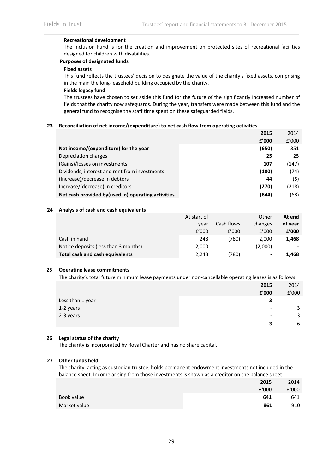#### **Recreational development**

The Inclusion Fund is for the creation and improvement on protected sites of recreational facilities designed for children with disabilities.

#### **Purposes of designated funds**

#### **Fixed assets**

This fund reflects the trustees' decision to designate the value of the charity's fixed assets, comprising in the main the long‐leasehold building occupied by the charity.

#### **Fields legacy fund**

The trustees have chosen to set aside this fund for the future of the significantly increased number of fields that the charity now safeguards. During the year, transfers were made between this fund and the general fund to recognise the staff time spent on these safeguarded fields.

#### **23 Reconciliation of net income/(expenditure) to net cash flow from operating activities**

|                                                     | 2015  | 2014  |
|-----------------------------------------------------|-------|-------|
|                                                     | f'000 | f'000 |
| Net income/(expenditure) for the year               | (650) | 351   |
| Depreciation charges                                | 25    | 25    |
| (Gains)/losses on investments                       | 107   | (147) |
| Dividends, interest and rent from investments       | (100) | (74)  |
| (Increase)/decrease in debtors                      | 44    | (5)   |
| Increase/(decrease) in creditors                    | (270) | (218) |
| Net cash provided by (used in) operating activities | (844) | (68)  |

#### **24 Analysis of cash and cash equivalents**

|                                      | At start of |                              | Other   | At end  |
|--------------------------------------|-------------|------------------------------|---------|---------|
|                                      | vear        | Cash flows                   | changes | of year |
|                                      | f'000       | f'000                        | f'000   | f'000   |
| Cash in hand                         | 248         | (780)                        | 2,000   | 1,468   |
| Notice deposits (less than 3 months) | 2,000       | $\qquad \qquad \blacksquare$ | (2,000) | -       |
| Total cash and cash equivalents      | 2,248       | 780)                         |         | 1,468   |

#### **25 Operating lease commitments**

The charity's total future minimum lease payments under non‐cancellable operating leases is as follows:

|                  | 2015                     | 2014                     |
|------------------|--------------------------|--------------------------|
|                  | £'000                    | £'000                    |
| Less than 1 year | 3                        | $\overline{\phantom{0}}$ |
| 1-2 years        | $\overline{\phantom{a}}$ | 3                        |
| 2-3 years        | $\overline{\phantom{0}}$ | 3                        |
|                  |                          | b                        |

#### **26 Legal status of the charity**

The charity is incorporated by Royal Charter and has no share capital.

#### **27 Other funds held**

The charity, acting as custodian trustee, holds permanent endowment investments not included in the balance sheet. Income arising from those investments is shown as a creditor on the balance sheet.

|              | 2015  | 2014  |
|--------------|-------|-------|
|              | £'000 | £'000 |
| Book value   | 641   | 641   |
| Market value | 861   | 910   |
|              |       |       |